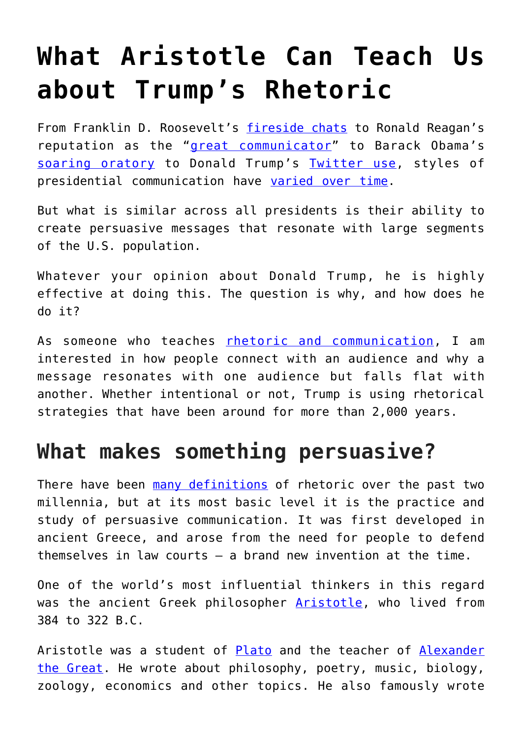# **[What Aristotle Can Teach Us](https://intellectualtakeout.org/2019/01/what-aristotle-can-teach-us-about-trumps-rhetoric/) [about Trump's Rhetoric](https://intellectualtakeout.org/2019/01/what-aristotle-can-teach-us-about-trumps-rhetoric/)**

From Franklin D. Roosevelt's [fireside chats](https://www.whitehousehistory.org/the-fireside-chats-roosevelts-radio-talks) to Ronald Reagan's reputation as the "[great communicator"](https://www.nytimes.com/2004/06/13/weekinreview/and-yes-he-was-a-great-communicator.html) to Barack Obama's [soaring oratory](https://www.nytimes.com/2016/07/27/magazine/the-speech-that-made-obama.html) to Donald Trump's [Twitter use](https://news.gallup.com/poll/234509/deconstructing-trump-twitter.aspx), styles of presidential communication have [varied over time.](http://www.realclearlife.com/history/short-history-presidential-communication/)

But what is similar across all presidents is their ability to create persuasive messages that resonate with large segments of the U.S. population.

Whatever your opinion about Donald Trump, he is highly effective at doing this. The question is why, and how does he do it?

As someone who teaches [rhetoric and communication](https://www.umassd.edu/directory/aarrigo/), I am interested in how people connect with an audience and why a message resonates with one audience but falls flat with another. Whether intentional or not, Trump is using rhetorical strategies that have been around for more than 2,000 years.

## **What makes something persuasive?**

There have been [many definitions](https://www.americanrhetoric.com/rhetoricdefinitions.htm) of rhetoric over the past two millennia, but at its most basic level it is the practice and study of persuasive communication. It was first developed in ancient Greece, and arose from the need for people to defend themselves in law courts – a brand new invention at the time.

One of the world's most influential thinkers in this regard was the ancient Greek philosopher [Aristotle,](https://www.iep.utm.edu/aristotl/) who lived from 384 to 322 B.C.

Aristotle was a student of [Plato](https://www.iep.utm.edu/plato/) and the teacher of [Alexander](https://www.ancient.eu/Alexander_the_Great/) [the Great.](https://www.ancient.eu/Alexander_the_Great/) He wrote about philosophy, poetry, music, biology, zoology, economics and other topics. He also famously wrote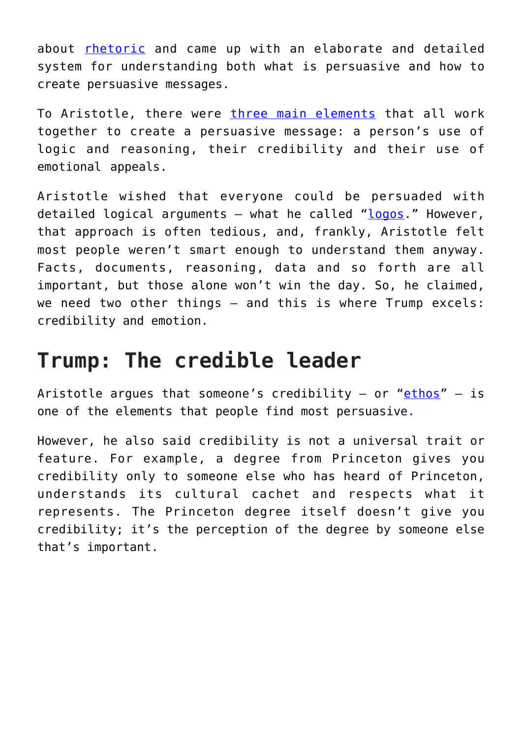about [rhetoric](http://classics.mit.edu/Aristotle/rhetoric.1.i.html) and came up with an elaborate and detailed system for understanding both what is persuasive and how to create persuasive messages.

To Aristotle, there were [three main elements](https://plato.stanford.edu/entries/aristotle-rhetoric/#means) that all work together to create a persuasive message: a person's use of logic and reasoning, their credibility and their use of emotional appeals.

Aristotle wished that everyone could be persuaded with detailed logical arguments – what he called " $logos$ ." However, that approach is often tedious, and, frankly, Aristotle felt most people weren't smart enough to understand them anyway. Facts, documents, reasoning, data and so forth are all important, but those alone won't win the day. So, he claimed, we need two other things – and this is where Trump excels: credibility and emotion.

#### **Trump: The credible leader**

Aristotle argues that someone's credibility - or "[ethos](http://rhetoric.byu.edu/Persuasive%20Appeals/Ethos.htm)" - is one of the elements that people find most persuasive.

However, he also said credibility is not a universal trait or feature. For example, a degree from Princeton gives you credibility only to someone else who has heard of Princeton, understands its cultural cachet and respects what it represents. The Princeton degree itself doesn't give you credibility; it's the perception of the degree by someone else that's important.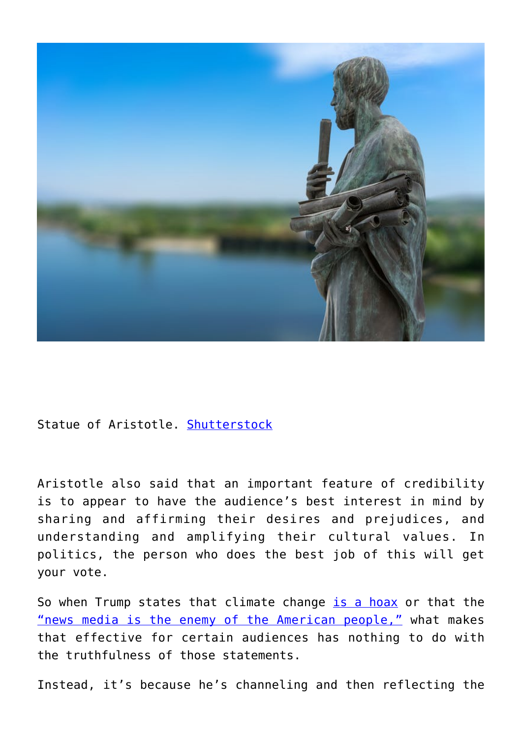

Statue of Aristotle. [Shutterstock](https://www.shutterstock.com/download/confirm/421724455?src=6ec55nL7wSQwZ4r94f8OUg-1-1&size=huge_jpg)

Aristotle also said that an important feature of credibility is to appear to have the audience's best interest in mind by sharing and affirming their desires and prejudices, and understanding and amplifying their cultural values. In politics, the person who does the best job of this will get your vote.

So when Trump states that climate change [is a hoax](https://www.politifact.com/truth-o-meter/statements/2016/jun/03/hillary-clinton/yes-donald-trump-did-call-climate-change-chinese-h/) or that the ["news media is the enemy of the American people,"](https://www.nytimes.com/2017/02/17/business/trump-calls-the-news-media-the-enemy-of-the-people.html) what makes that effective for certain audiences has nothing to do with the truthfulness of those statements.

Instead, it's because he's channeling and then reflecting the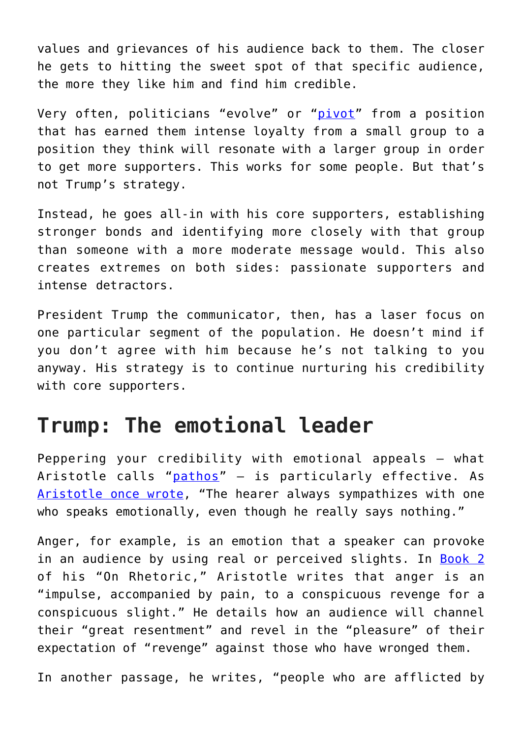values and grievances of his audience back to them. The closer he gets to hitting the sweet spot of that specific audience, the more they like him and find him credible.

Very often, politicians "evolve" or "[pivot](https://www.npr.org/2012/10/03/162103368/how-politicians-get-away-with-dodging-the-question)" from a position that has earned them intense loyalty from a small group to a position they think will resonate with a larger group in order to get more supporters. This works for some people. But that's not Trump's strategy.

Instead, he goes all-in with his core supporters, establishing stronger bonds and identifying more closely with that group than someone with a more moderate message would. This also creates extremes on both sides: passionate supporters and intense detractors.

President Trump the communicator, then, has a laser focus on one particular segment of the population. He doesn't mind if you don't agree with him because he's not talking to you anyway. His strategy is to continue nurturing his credibility with core supporters.

### **Trump: The emotional leader**

Peppering your credibility with emotional appeals – what Aristotle calls "[pathos](http://rhetoric.byu.edu/Persuasive%20Appeals/Pathos.htm)" – is particularly effective. As [Aristotle once wrote,](http://perseus.uchicago.edu/perseus-cgi/citequery3.pl?dbname=GreekFeb2011&query=Arist.%20Rh.%201408a&getid=1) "The hearer always sympathizes with one who speaks emotionally, even though he really says nothing."

Anger, for example, is an emotion that a speaker can provoke in an audience by using real or perceived slights. In [Book 2](http://classics.mit.edu/Aristotle/rhetoric.2.ii.html) of his "On Rhetoric," Aristotle writes that anger is an "impulse, accompanied by pain, to a conspicuous revenge for a conspicuous slight." He details how an audience will channel their "great resentment" and revel in the "pleasure" of their expectation of "revenge" against those who have wronged them.

In another passage, he writes, "people who are afflicted by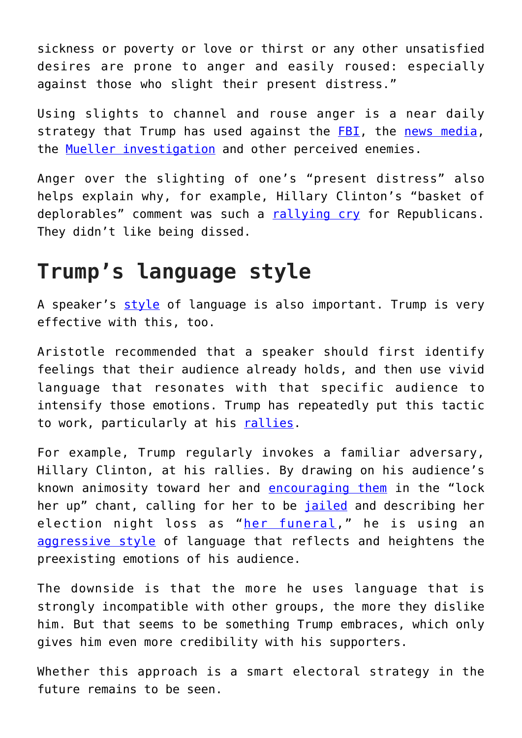sickness or poverty or love or thirst or any other unsatisfied desires are prone to anger and easily roused: especially against those who slight their present distress."

Using slights to channel and rouse anger is a near daily strategy that Trump has used against the [FBI,](https://www.theatlantic.com/politics/archive/2018/05/the-chilling-effect-of-trumps-war-on-the-fbi/561218/) the [news media,](https://www.nytimes.com/2018/10/28/business/media/trumps-attacks-news-media.html) the [Mueller investigation](https://www.cnn.com/2018/12/17/politics/donald-trump-robert-mueller-government-shutdown-obamacare/index.html) and other perceived enemies.

Anger over the slighting of one's "present distress" also helps explain why, for example, Hillary Clinton's "basket of deplorables" comment was such a [rallying cry](https://www.huffingtonpost.com/entry/clinton-trump-deplorables-2016-election_us_59b53bc2e4b0354e44126979) for Republicans. They didn't like being dissed.

#### **Trump's language style**

A speaker's [style](https://plato.stanford.edu/entries/aristotle-rhetoric/#style) of language is also important. Trump is very effective with this, too.

Aristotle recommended that a speaker should first identify feelings that their audience already holds, and then use vivid language that resonates with that specific audience to intensify those emotions. Trump has repeatedly put this tactic to work, particularly at his [rallies](https://www.newyorker.com/magazine/2016/07/11/george-saunders-goes-to-trump-rallies).

For example, Trump regularly invokes a familiar adversary, Hillary Clinton, at his rallies. By drawing on his audience's known animosity toward her and [encouraging them](https://www.realclearpolitics.com/articles/2016/10/11/trump_savors_lock_her_up_chants_at_pa_rallies.html) in the "lock her up" chant, calling for her to be [jailed](https://thehill.com/homenews/administration/358772-timeline-trump-calls-for-clinton-to-be-investigated) and describing her election night loss as "[her funeral,](https://www.usatoday.com/story/news/politics/2018/09/07/donald-trump-calls-hillary-clintons-concession-event-funeral/1224620002/)" he is using an [aggressive style](https://www.minnpost.com/eric-black-ink/2016/06/comparing-speaking-styles-clinton-and-trump-and-what-it-reveals-about-their-m/) of language that reflects and heightens the preexisting emotions of his audience.

The downside is that the more he uses language that is strongly incompatible with other groups, the more they dislike him. But that seems to be something Trump embraces, which only gives him even more credibility with his supporters.

Whether this approach is a smart electoral strategy in the future remains to be seen.